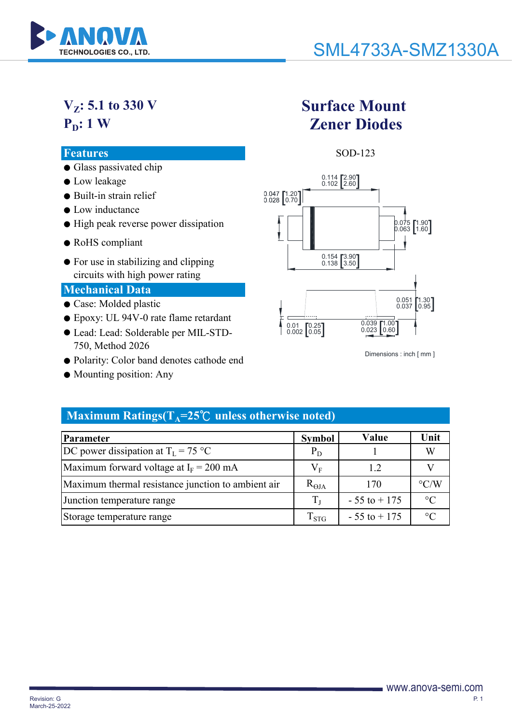

# **VZ: 5.1 to 330 V P**<sub>D</sub>: 1 W

### **Features** SOD-123

- Glass passivated chip
- Low leakage
- Built-in strain relief
- Low inductance
- High peak reverse power dissipation
- RoHS compliant
- For use in stabilizing and clipping circuits with high power rating

### **Mechanical Data**

- Case: Molded plastic
- Epoxy: UL 94V-0 rate flame retardant
- Lead: Lead: Solderable per MIL-STD-750, Method 2026
- Polarity: Color band denotes cathode end
- Mounting position: Any

# **Surface Mount Zener Diodes**



Dimensions : inch [ mm ]

## **Maximum Ratings(** $T_A = 25^\circ \text{C}$  **unless otherwise noted)**

| <b>Parameter</b>                                   | <b>Symbol</b>      | Value           | Unit               |
|----------------------------------------------------|--------------------|-----------------|--------------------|
| DC power dissipation at $T_I = 75 °C$              | $P_D$              |                 | W                  |
| Maximum forward voltage at $I_F = 200$ mA          | $\rm V_F$          | 12              |                    |
| Maximum thermal resistance junction to ambient air | $R_{\Theta JA}$    | 170             | $\rm ^{\circ} C/W$ |
| Junction temperature range                         | $T_{\rm L}$        | $-55$ to $+175$ | $\circ$ C          |
| Storage temperature range                          | $\mathrm{T_{STG}}$ | $-55$ to $+175$ | $^{\circ}C$        |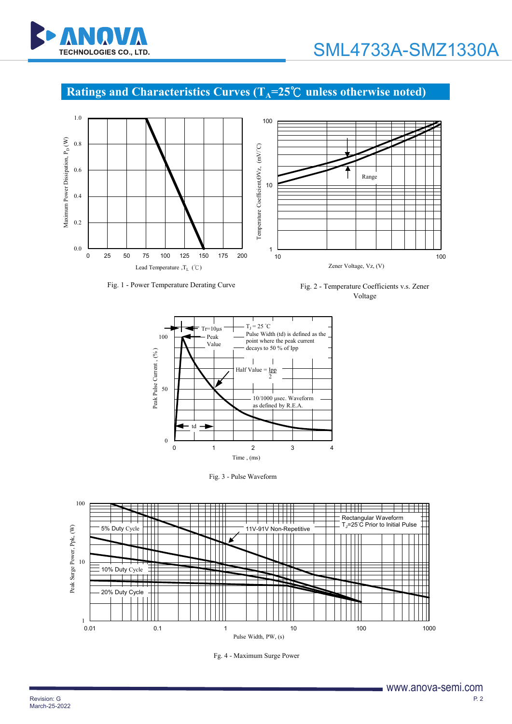

## **Ratings and Characteristics Curves (T<sub>A</sub>=25<sup>°</sup>C unless otherwise noted)**



Fig. 1 - Power Temperature Derating Curve Fig. 2 - Temperature Coefficients v.s. Zener Voltage



Fig. 3 - Pulse Waveform